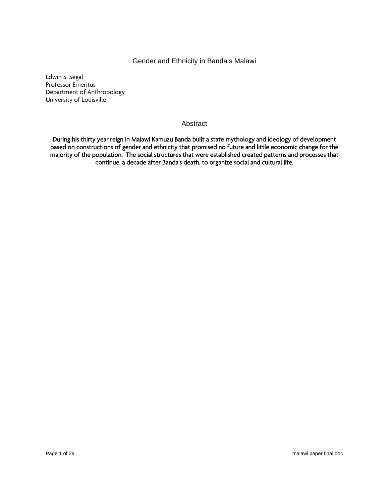# Gender and Ethnicity in Banda's Malawi

Edwin S. Segal Professor Emeritus Department of Anthropology University of Louisville

## Abstract

During his thirty year reign in Malawi Kamuzu Banda built a state mythology and ideology of development based on constructions of gender and ethnicity that promised no future and little economic change for the majority of the population. The social structures that were established created patterns and processes that continue, a decade after Banda's death, to organize social and cultural life.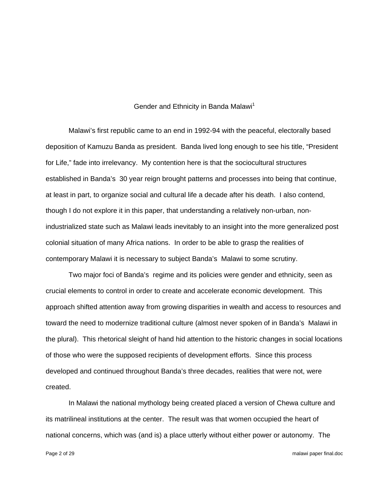### Gender and Ethnicity in Banda Malawi<sup>1</sup>

 Malawi's first republic came to an end in 1992-94 with the peaceful, electorally based deposition of Kamuzu Banda as president. Banda lived long enough to see his title, "President for Life," fade into irrelevancy. My contention here is that the sociocultural structures established in Banda's 30 year reign brought patterns and processes into being that continue, at least in part, to organize social and cultural life a decade after his death. I also contend, though I do not explore it in this paper, that understanding a relatively non-urban, nonindustrialized state such as Malawi leads inevitably to an insight into the more generalized post colonial situation of many Africa nations. In order to be able to grasp the realities of contemporary Malawi it is necessary to subject Banda's Malawi to some scrutiny.

 Two major foci of Banda's regime and its policies were gender and ethnicity, seen as crucial elements to control in order to create and accelerate economic development. This approach shifted attention away from growing disparities in wealth and access to resources and toward the need to modernize traditional culture (almost never spoken of in Banda's Malawi in the plural). This rhetorical sleight of hand hid attention to the historic changes in social locations of those who were the supposed recipients of development efforts. Since this process developed and continued throughout Banda's three decades, realities that were not, were created.

 In Malawi the national mythology being created placed a version of Chewa culture and its matrilineal institutions at the center. The result was that women occupied the heart of national concerns, which was (and is) a place utterly without either power or autonomy. The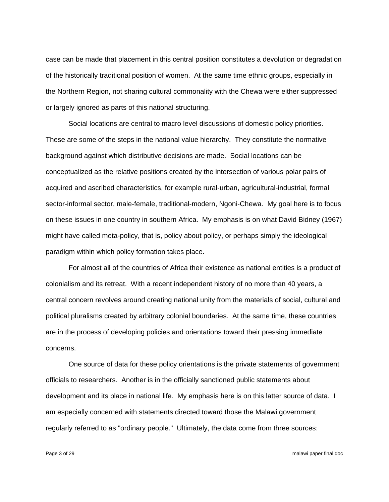case can be made that placement in this central position constitutes a devolution or degradation of the historically traditional position of women. At the same time ethnic groups, especially in the Northern Region, not sharing cultural commonality with the Chewa were either suppressed or largely ignored as parts of this national structuring.

 Social locations are central to macro level discussions of domestic policy priorities. These are some of the steps in the national value hierarchy. They constitute the normative background against which distributive decisions are made. Social locations can be conceptualized as the relative positions created by the intersection of various polar pairs of acquired and ascribed characteristics, for example rural-urban, agricultural-industrial, formal sector-informal sector, male-female, traditional-modern, Ngoni-Chewa. My goal here is to focus on these issues in one country in southern Africa. My emphasis is on what David Bidney (1967) might have called meta-policy, that is, policy about policy, or perhaps simply the ideological paradigm within which policy formation takes place.

 For almost all of the countries of Africa their existence as national entities is a product of colonialism and its retreat. With a recent independent history of no more than 40 years, a central concern revolves around creating national unity from the materials of social, cultural and political pluralisms created by arbitrary colonial boundaries. At the same time, these countries are in the process of developing policies and orientations toward their pressing immediate concerns.

 One source of data for these policy orientations is the private statements of government officials to researchers. Another is in the officially sanctioned public statements about development and its place in national life. My emphasis here is on this latter source of data. I am especially concerned with statements directed toward those the Malawi government regularly referred to as "ordinary people." Ultimately, the data come from three sources: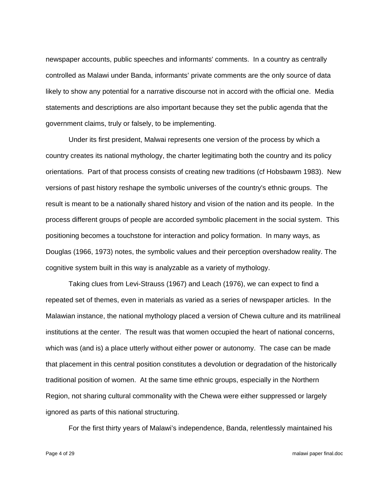newspaper accounts, public speeches and informants' comments. In a country as centrally controlled as Malawi under Banda, informants' private comments are the only source of data likely to show any potential for a narrative discourse not in accord with the official one. Media statements and descriptions are also important because they set the public agenda that the government claims, truly or falsely, to be implementing.

 Under its first president, Malwai represents one version of the process by which a country creates its national mythology, the charter legitimating both the country and its policy orientations. Part of that process consists of creating new traditions (cf Hobsbawm 1983). New versions of past history reshape the symbolic universes of the country's ethnic groups. The result is meant to be a nationally shared history and vision of the nation and its people. In the process different groups of people are accorded symbolic placement in the social system. This positioning becomes a touchstone for interaction and policy formation. In many ways, as Douglas (1966, 1973) notes, the symbolic values and their perception overshadow reality. The cognitive system built in this way is analyzable as a variety of mythology.

 Taking clues from Levi-Strauss (1967) and Leach (1976), we can expect to find a repeated set of themes, even in materials as varied as a series of newspaper articles. In the Malawian instance, the national mythology placed a version of Chewa culture and its matrilineal institutions at the center. The result was that women occupied the heart of national concerns, which was (and is) a place utterly without either power or autonomy. The case can be made that placement in this central position constitutes a devolution or degradation of the historically traditional position of women. At the same time ethnic groups, especially in the Northern Region, not sharing cultural commonality with the Chewa were either suppressed or largely ignored as parts of this national structuring.

For the first thirty years of Malawi's independence, Banda, relentlessly maintained his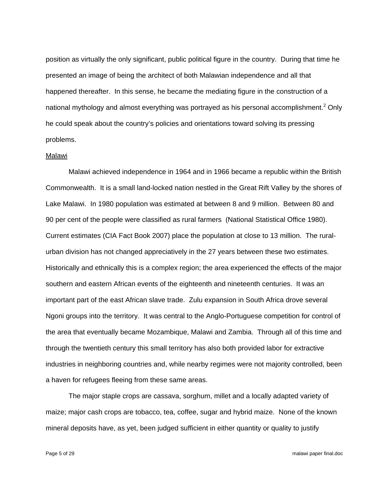position as virtually the only significant, public political figure in the country. During that time he presented an image of being the architect of both Malawian independence and all that happened thereafter. In this sense, he became the mediating figure in the construction of a national mythology and almost everything was portrayed as his personal accomplishment.<sup>2</sup> Only he could speak about the country's policies and orientations toward solving its pressing problems.

#### Malawi

 Malawi achieved independence in 1964 and in 1966 became a republic within the British Commonwealth. It is a small land-locked nation nestled in the Great Rift Valley by the shores of Lake Malawi. In 1980 population was estimated at between 8 and 9 million. Between 80 and 90 per cent of the people were classified as rural farmers (National Statistical Office 1980). Current estimates (CIA Fact Book 2007) place the population at close to 13 million. The ruralurban division has not changed appreciatively in the 27 years between these two estimates. Historically and ethnically this is a complex region; the area experienced the effects of the major southern and eastern African events of the eighteenth and nineteenth centuries. It was an important part of the east African slave trade. Zulu expansion in South Africa drove several Ngoni groups into the territory. It was central to the Anglo-Portuguese competition for control of the area that eventually became Mozambique, Malawi and Zambia. Through all of this time and through the twentieth century this small territory has also both provided labor for extractive industries in neighboring countries and, while nearby regimes were not majority controlled, been a haven for refugees fleeing from these same areas.

 The major staple crops are cassava, sorghum, millet and a locally adapted variety of maize; major cash crops are tobacco, tea, coffee, sugar and hybrid maize. None of the known mineral deposits have, as yet, been judged sufficient in either quantity or quality to justify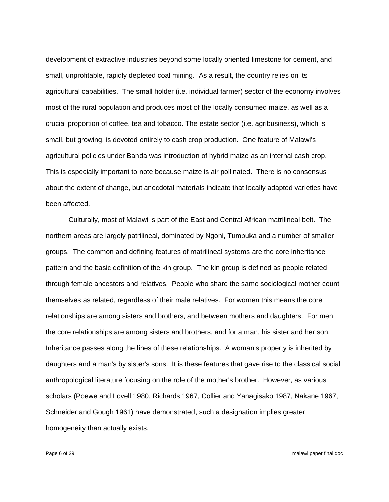development of extractive industries beyond some locally oriented limestone for cement, and small, unprofitable, rapidly depleted coal mining. As a result, the country relies on its agricultural capabilities. The small holder (i.e. individual farmer) sector of the economy involves most of the rural population and produces most of the locally consumed maize, as well as a crucial proportion of coffee, tea and tobacco. The estate sector (i.e. agribusiness), which is small, but growing, is devoted entirely to cash crop production. One feature of Malawi's agricultural policies under Banda was introduction of hybrid maize as an internal cash crop. This is especially important to note because maize is air pollinated. There is no consensus about the extent of change, but anecdotal materials indicate that locally adapted varieties have been affected.

 Culturally, most of Malawi is part of the East and Central African matrilineal belt. The northern areas are largely patrilineal, dominated by Ngoni, Tumbuka and a number of smaller groups. The common and defining features of matrilineal systems are the core inheritance pattern and the basic definition of the kin group. The kin group is defined as people related through female ancestors and relatives. People who share the same sociological mother count themselves as related, regardless of their male relatives. For women this means the core relationships are among sisters and brothers, and between mothers and daughters. For men the core relationships are among sisters and brothers, and for a man, his sister and her son. Inheritance passes along the lines of these relationships. A woman's property is inherited by daughters and a man's by sister's sons. It is these features that gave rise to the classical social anthropological literature focusing on the role of the mother's brother. However, as various scholars (Poewe and Lovell 1980, Richards 1967, Collier and Yanagisako 1987, Nakane 1967, Schneider and Gough 1961) have demonstrated, such a designation implies greater homogeneity than actually exists.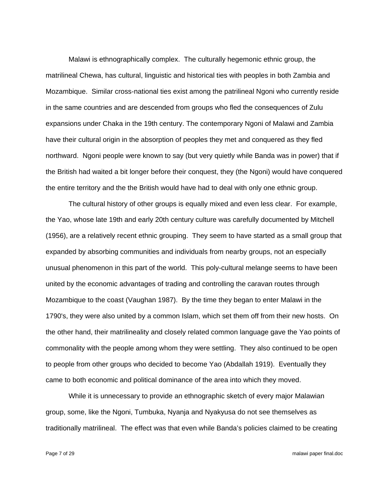Malawi is ethnographically complex. The culturally hegemonic ethnic group, the matrilineal Chewa, has cultural, linguistic and historical ties with peoples in both Zambia and Mozambique. Similar cross-national ties exist among the patrilineal Ngoni who currently reside in the same countries and are descended from groups who fled the consequences of Zulu expansions under Chaka in the 19th century. The contemporary Ngoni of Malawi and Zambia have their cultural origin in the absorption of peoples they met and conquered as they fled northward. Ngoni people were known to say (but very quietly while Banda was in power) that if the British had waited a bit longer before their conquest, they (the Ngoni) would have conquered the entire territory and the the British would have had to deal with only one ethnic group.

 The cultural history of other groups is equally mixed and even less clear. For example, the Yao, whose late 19th and early 20th century culture was carefully documented by Mitchell (1956), are a relatively recent ethnic grouping. They seem to have started as a small group that expanded by absorbing communities and individuals from nearby groups, not an especially unusual phenomenon in this part of the world. This poly-cultural melange seems to have been united by the economic advantages of trading and controlling the caravan routes through Mozambique to the coast (Vaughan 1987). By the time they began to enter Malawi in the 1790's, they were also united by a common Islam, which set them off from their new hosts. On the other hand, their matrilineality and closely related common language gave the Yao points of commonality with the people among whom they were settling. They also continued to be open to people from other groups who decided to become Yao (Abdallah 1919). Eventually they came to both economic and political dominance of the area into which they moved.

 While it is unnecessary to provide an ethnographic sketch of every major Malawian group, some, like the Ngoni, Tumbuka, Nyanja and Nyakyusa do not see themselves as traditionally matrilineal. The effect was that even while Banda's policies claimed to be creating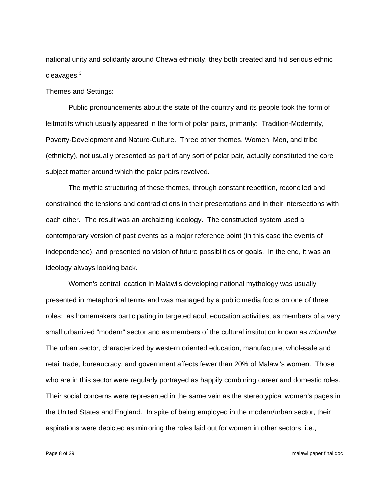national unity and solidarity around Chewa ethnicity, they both created and hid serious ethnic cleavages. $^3$ 

## Themes and Settings:

 Public pronouncements about the state of the country and its people took the form of leitmotifs which usually appeared in the form of polar pairs, primarily: Tradition-Modernity, Poverty-Development and Nature-Culture. Three other themes, Women, Men, and tribe (ethnicity), not usually presented as part of any sort of polar pair, actually constituted the core subject matter around which the polar pairs revolved.

 The mythic structuring of these themes, through constant repetition, reconciled and constrained the tensions and contradictions in their presentations and in their intersections with each other. The result was an archaizing ideology. The constructed system used a contemporary version of past events as a major reference point (in this case the events of independence), and presented no vision of future possibilities or goals. In the end, it was an ideology always looking back.

 Women's central location in Malawi's developing national mythology was usually presented in metaphorical terms and was managed by a public media focus on one of three roles: as homemakers participating in targeted adult education activities, as members of a very small urbanized "modern" sector and as members of the cultural institution known as *mbumba*. The urban sector, characterized by western oriented education, manufacture, wholesale and retail trade, bureaucracy, and government affects fewer than 20% of Malawi's women. Those who are in this sector were regularly portrayed as happily combining career and domestic roles. Their social concerns were represented in the same vein as the stereotypical women's pages in the United States and England. In spite of being employed in the modern/urban sector, their aspirations were depicted as mirroring the roles laid out for women in other sectors, i.e.,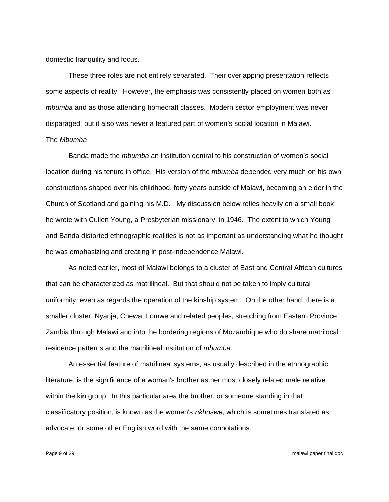domestic tranquility and focus.

 These three roles are not entirely separated. Their overlapping presentation reflects some aspects of reality. However, the emphasis was consistently placed on women both as *mbumba* and as those attending homecraft classes. Modern sector employment was never disparaged, but it also was never a featured part of women's social location in Malawi.

## The *Mbumba*

 Banda made the *mbumba* an institution central to his construction of women's social location during his tenure in office. His version of the *mbumba* depended very much on his own constructions shaped over his childhood, forty years outside of Malawi, becoming an elder in the Church of Scotland and gaining his M.D. My discussion below relies heavily on a small book he wrote with Cullen Young, a Presbyterian missionary, in 1946. The extent to which Young and Banda distorted ethnographic realities is not as important as understanding what he thought he was emphasizing and creating in post-independence Malawi.

 As noted earlier, most of Malawi belongs to a cluster of East and Central African cultures that can be characterized as matrilineal. But that should not be taken to imply cultural uniformity, even as regards the operation of the kinship system. On the other hand, there is a smaller cluster, Nyanja, Chewa, Lomwe and related peoples, stretching from Eastern Province Zambia through Malawi and into the bordering regions of Mozambique who do share matrilocal residence patterns and the matrilineal institution of *mbumba.* 

 An essential feature of matrilineal systems, as usually described in the ethnographic literature, is the significance of a woman's brother as her most closely related male relative within the kin group. In this particular area the brother, or someone standing in that classificatory position, is known as the women's *nkhoswe*, which is sometimes translated as advocate, or some other English word with the same connotations.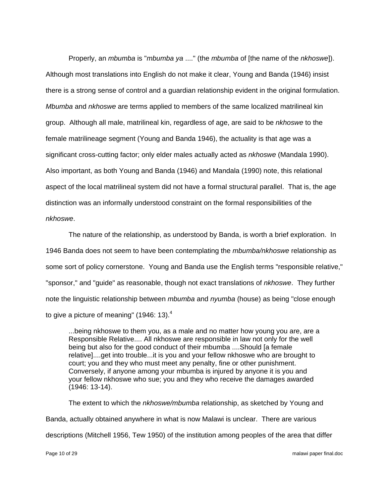Properly, an *mbumba* is "*mbumba ya* ...." (the *mbumba* of [the name of the *nkhoswe*]). Although most translations into English do not make it clear, Young and Banda (1946) insist there is a strong sense of control and a guardian relationship evident in the original formulation. *Mbumba* and *nkhoswe* are terms applied to members of the same localized matrilineal kin group. Although all male, matrilineal kin, regardless of age, are said to be *nkhoswe* to the female matrilineage segment (Young and Banda 1946), the actuality is that age was a significant cross-cutting factor; only elder males actually acted as *nkhoswe* (Mandala 1990). Also important, as both Young and Banda (1946) and Mandala (1990) note, this relational aspect of the local matrilineal system did not have a formal structural parallel. That is, the age distinction was an informally understood constraint on the formal responsibilities of the *nkhoswe*.

 The nature of the relationship, as understood by Banda, is worth a brief exploration. In 1946 Banda does not seem to have been contemplating the *mbumba/nkhoswe* relationship as some sort of policy cornerstone. Young and Banda use the English terms "responsible relative," "sponsor," and "guide" as reasonable, though not exact translations of *nkhoswe*. They further note the linguistic relationship between *mbumba* and *nyumba* (house) as being "close enough to give a picture of meaning" (1946: 13).<sup>4</sup>

...being nkhoswe to them you, as a male and no matter how young you are, are a Responsible Relative.... All nkhoswe are responsible in law not only for the well being but also for the good conduct of their mbumba ....Should [a female relative]....get into trouble...it is you and your fellow nkhoswe who are brought to court; you and they who must meet any penalty, fine or other punishment. Conversely, if anyone among your mbumba is injured by anyone it is you and your fellow nkhoswe who sue; you and they who receive the damages awarded (1946: 13-14).

 The extent to which the *nkhoswe/mbumba* relationship, as sketched by Young and Banda, actually obtained anywhere in what is now Malawi is unclear. There are various descriptions (Mitchell 1956, Tew 1950) of the institution among peoples of the area that differ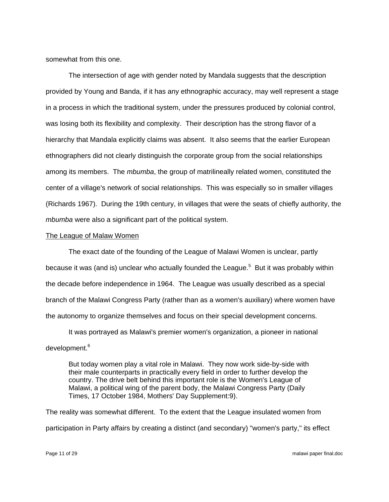somewhat from this one.

 The intersection of age with gender noted by Mandala suggests that the description provided by Young and Banda, if it has any ethnographic accuracy, may well represent a stage in a process in which the traditional system, under the pressures produced by colonial control, was losing both its flexibility and complexity. Their description has the strong flavor of a hierarchy that Mandala explicitly claims was absent. It also seems that the earlier European ethnographers did not clearly distinguish the corporate group from the social relationships among its members. The *mbumba*, the group of matrilineally related women, constituted the center of a village's network of social relationships. This was especially so in smaller villages (Richards 1967). During the 19th century, in villages that were the seats of chiefly authority, the *mbumba* were also a significant part of the political system.

## The League of Malaw Women

 The exact date of the founding of the League of Malawi Women is unclear, partly because it was (and is) unclear who actually founded the League.<sup>5</sup> But it was probably within the decade before independence in 1964. The League was usually described as a special branch of the Malawi Congress Party (rather than as a women's auxiliary) where women have the autonomy to organize themselves and focus on their special development concerns.

 It was portrayed as Malawi's premier women's organization, a pioneer in national development.<sup>6</sup>

But today women play a vital role in Malawi. They now work side-by-side with their male counterparts in practically every field in order to further develop the country. The drive belt behind this important role is the Women's League of Malawi, a political wing of the parent body, the Malawi Congress Party (Daily Times, 17 October 1984, Mothers' Day Supplement:9).

The reality was somewhat different. To the extent that the League insulated women from participation in Party affairs by creating a distinct (and secondary) "women's party," its effect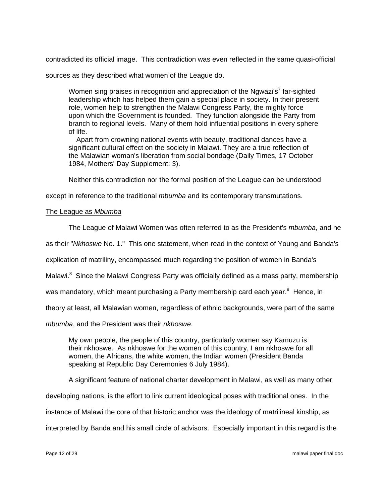contradicted its official image. This contradiction was even reflected in the same quasi-official

sources as they described what women of the League do.

Women sing praises in recognition and appreciation of the Ngwazi's<sup>7</sup> far-sighted leadership which has helped them gain a special place in society. In their present role, women help to strengthen the Malawi Congress Party, the mighty force upon which the Government is founded. They function alongside the Party from branch to regional levels. Many of them hold influential positions in every sphere of life.

 Apart from crowning national events with beauty, traditional dances have a significant cultural effect on the society in Malawi. They are a true reflection of the Malawian woman's liberation from social bondage (Daily Times, 17 October 1984, Mothers' Day Supplement: 3).

Neither this contradiction nor the formal position of the League can be understood

except in reference to the traditional *mbumba* and its contemporary transmutations.

# The League as *Mbumba*

The League of Malawi Women was often referred to as the President's *mbumba*, and he

as their "*Nkhoswe* No. 1." This one statement, when read in the context of Young and Banda's

explication of matriliny, encompassed much regarding the position of women in Banda's

Malawi.<sup>8</sup> Since the Malawi Congress Party was officially defined as a mass party, membership

was mandatory, which meant purchasing a Party membership card each year.<sup>9</sup> Hence, in

theory at least, all Malawian women, regardless of ethnic backgrounds, were part of the same

*mbumba*, and the President was their *nkhoswe*.

My own people, the people of this country, particularly women say Kamuzu is their nkhoswe. As nkhoswe for the women of this country, I am nkhoswe for all women, the Africans, the white women, the Indian women (President Banda speaking at Republic Day Ceremonies 6 July 1984).

A significant feature of national charter development in Malawi, as well as many other

developing nations, is the effort to link current ideological poses with traditional ones. In the

instance of Malawi the core of that historic anchor was the ideology of matrilineal kinship, as

interpreted by Banda and his small circle of advisors. Especially important in this regard is the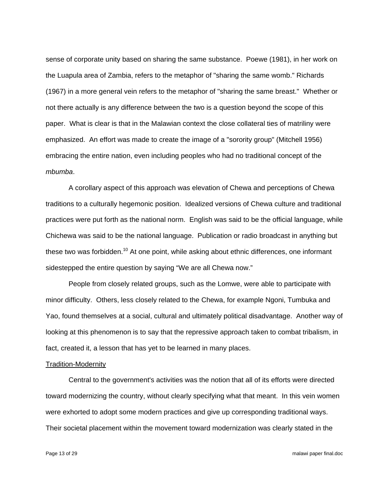sense of corporate unity based on sharing the same substance. Poewe (1981), in her work on the Luapula area of Zambia, refers to the metaphor of "sharing the same womb." Richards (1967) in a more general vein refers to the metaphor of "sharing the same breast." Whether or not there actually is any difference between the two is a question beyond the scope of this paper. What is clear is that in the Malawian context the close collateral ties of matriliny were emphasized. An effort was made to create the image of a "sorority group" (Mitchell 1956) embracing the entire nation, even including peoples who had no traditional concept of the *mbumba*.

 A corollary aspect of this approach was elevation of Chewa and perceptions of Chewa traditions to a culturally hegemonic position. Idealized versions of Chewa culture and traditional practices were put forth as the national norm. English was said to be the official language, while Chichewa was said to be the national language. Publication or radio broadcast in anything but these two was forbidden.<sup>10</sup> At one point, while asking about ethnic differences, one informant sidestepped the entire question by saying "We are all Chewa now."

 People from closely related groups, such as the Lomwe, were able to participate with minor difficulty. Others, less closely related to the Chewa, for example Ngoni, Tumbuka and Yao, found themselves at a social, cultural and ultimately political disadvantage. Another way of looking at this phenomenon is to say that the repressive approach taken to combat tribalism, in fact, created it, a lesson that has yet to be learned in many places.

## Tradition-Modernity

 Central to the government's activities was the notion that all of its efforts were directed toward modernizing the country, without clearly specifying what that meant. In this vein women were exhorted to adopt some modern practices and give up corresponding traditional ways. Their societal placement within the movement toward modernization was clearly stated in the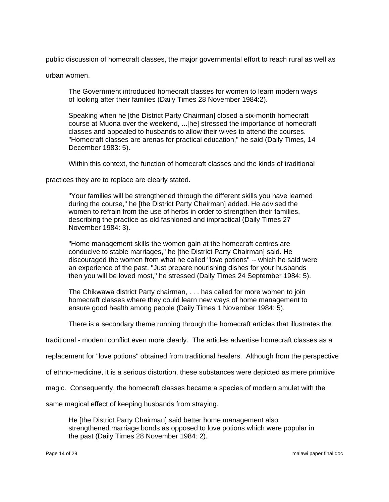public discussion of homecraft classes, the major governmental effort to reach rural as well as

urban women.

The Government introduced homecraft classes for women to learn modern ways of looking after their families (Daily Times 28 November 1984:2).

Speaking when he [the District Party Chairman] closed a six-month homecraft course at Muona over the weekend, ...[he] stressed the importance of homecraft classes and appealed to husbands to allow their wives to attend the courses. "Homecraft classes are arenas for practical education," he said (Daily Times, 14 December 1983: 5).

Within this context, the function of homecraft classes and the kinds of traditional

practices they are to replace are clearly stated.

"Your families will be strengthened through the different skills you have learned during the course," he [the District Party Chairman] added. He advised the women to refrain from the use of herbs in order to strengthen their families, describing the practice as old fashioned and impractical (Daily Times 27 November 1984: 3).

"Home management skills the women gain at the homecraft centres are conducive to stable marriages," he [the District Party Chairman] said. He discouraged the women from what he called "love potions" -- which he said were an experience of the past. "Just prepare nourishing dishes for your husbands then you will be loved most," he stressed (Daily Times 24 September 1984: 5).

The Chikwawa district Party chairman, . . . has called for more women to join homecraft classes where they could learn new ways of home management to ensure good health among people (Daily Times 1 November 1984: 5).

There is a secondary theme running through the homecraft articles that illustrates the

traditional - modern conflict even more clearly. The articles advertise homecraft classes as a

replacement for "love potions" obtained from traditional healers. Although from the perspective

of ethno-medicine, it is a serious distortion, these substances were depicted as mere primitive

magic. Consequently, the homecraft classes became a species of modern amulet with the

same magical effect of keeping husbands from straying.

He [the District Party Chairman] said better home management also strengthened marriage bonds as opposed to love potions which were popular in the past (Daily Times 28 November 1984: 2).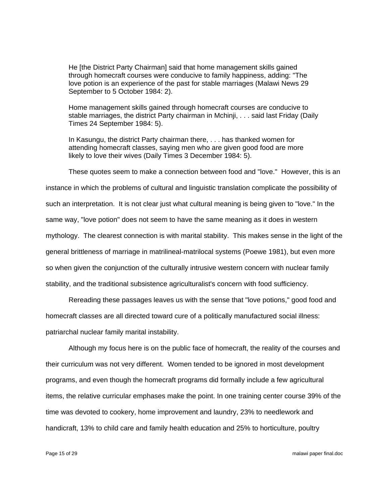He [the District Party Chairman] said that home management skills gained through homecraft courses were conducive to family happiness, adding: "The love potion is an experience of the past for stable marriages (Malawi News 29 September to 5 October 1984: 2).

Home management skills gained through homecraft courses are conducive to stable marriages, the district Party chairman in Mchinji, . . . said last Friday (Daily Times 24 September 1984: 5).

In Kasungu, the district Party chairman there, . . . has thanked women for attending homecraft classes, saying men who are given good food are more likely to love their wives (Daily Times 3 December 1984: 5).

 These quotes seem to make a connection between food and "love." However, this is an instance in which the problems of cultural and linguistic translation complicate the possibility of such an interpretation. It is not clear just what cultural meaning is being given to "love." In the same way, "love potion" does not seem to have the same meaning as it does in western mythology. The clearest connection is with marital stability. This makes sense in the light of the general brittleness of marriage in matrilineal-matrilocal systems (Poewe 1981), but even more so when given the conjunction of the culturally intrusive western concern with nuclear family stability, and the traditional subsistence agriculturalist's concern with food sufficiency.

 Rereading these passages leaves us with the sense that "love potions," good food and homecraft classes are all directed toward cure of a politically manufactured social illness: patriarchal nuclear family marital instability.

 Although my focus here is on the public face of homecraft, the reality of the courses and their curriculum was not very different. Women tended to be ignored in most development programs, and even though the homecraft programs did formally include a few agricultural items, the relative curricular emphases make the point. In one training center course 39% of the time was devoted to cookery, home improvement and laundry, 23% to needlework and handicraft, 13% to child care and family health education and 25% to horticulture, poultry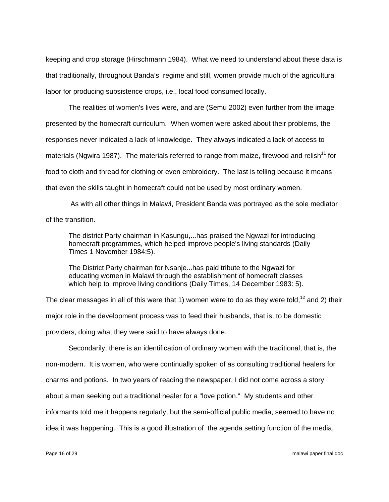keeping and crop storage (Hirschmann 1984). What we need to understand about these data is that traditionally, throughout Banda's regime and still, women provide much of the agricultural labor for producing subsistence crops, i.e., local food consumed locally.

 The realities of women's lives were, and are (Semu 2002) even further from the image presented by the homecraft curriculum. When women were asked about their problems, the responses never indicated a lack of knowledge. They always indicated a lack of access to materials (Ngwira 1987). The materials referred to range from maize, firewood and relish<sup>11</sup> for food to cloth and thread for clothing or even embroidery. The last is telling because it means that even the skills taught in homecraft could not be used by most ordinary women.

 As with all other things in Malawi, President Banda was portrayed as the sole mediator of the transition.

The district Party chairman in Kasungu,...has praised the Ngwazi for introducing homecraft programmes, which helped improve people's living standards (Daily Times 1 November 1984:5).

The District Party chairman for Nsanje...has paid tribute to the Ngwazi for educating women in Malawi through the establishment of homecraft classes which help to improve living conditions (Daily Times, 14 December 1983: 5).

The clear messages in all of this were that 1) women were to do as they were told,<sup>12</sup> and 2) their major role in the development process was to feed their husbands, that is, to be domestic providers, doing what they were said to have always done.

 Secondarily, there is an identification of ordinary women with the traditional, that is, the non-modern. It is women, who were continually spoken of as consulting traditional healers for charms and potions. In two years of reading the newspaper, I did not come across a story about a man seeking out a traditional healer for a "love potion." My students and other informants told me it happens regularly, but the semi-official public media, seemed to have no idea it was happening. This is a good illustration of the agenda setting function of the media,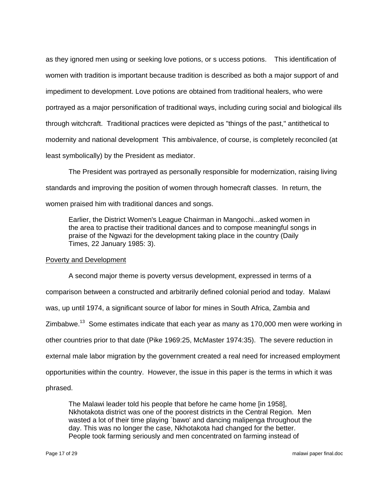as they ignored men using or seeking love potions, or s uccess potions. This identification of women with tradition is important because tradition is described as both a major support of and impediment to development. Love potions are obtained from traditional healers, who were portrayed as a major personification of traditional ways, including curing social and biological ills through witchcraft. Traditional practices were depicted as "things of the past," antithetical to modernity and national development This ambivalence, of course, is completely reconciled (at least symbolically) by the President as mediator.

 The President was portrayed as personally responsible for modernization, raising living standards and improving the position of women through homecraft classes. In return, the women praised him with traditional dances and songs.

Earlier, the District Women's League Chairman in Mangochi...asked women in the area to practise their traditional dances and to compose meaningful songs in praise of the Ngwazi for the development taking place in the country (Daily Times, 22 January 1985: 3).

#### Poverty and Development

 A second major theme is poverty versus development, expressed in terms of a comparison between a constructed and arbitrarily defined colonial period and today. Malawi was, up until 1974, a significant source of labor for mines in South Africa, Zambia and Zimbabwe.<sup>13</sup> Some estimates indicate that each year as many as 170,000 men were working in other countries prior to that date (Pike 1969:25, McMaster 1974:35). The severe reduction in external male labor migration by the government created a real need for increased employment opportunities within the country. However, the issue in this paper is the terms in which it was phrased.

The Malawi leader told his people that before he came home [in 1958], Nkhotakota district was one of the poorest districts in the Central Region. Men wasted a lot of their time playing `bawo' and dancing malipenga throughout the day. This was no longer the case, Nkhotakota had changed for the better. People took farming seriously and men concentrated on farming instead of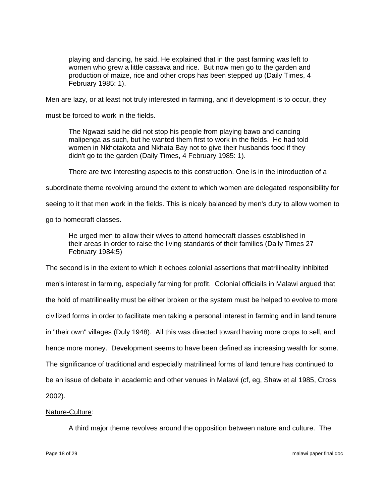playing and dancing, he said. He explained that in the past farming was left to women who grew a little cassava and rice. But now men go to the garden and production of maize, rice and other crops has been stepped up (Daily Times, 4 February 1985: 1).

Men are lazy, or at least not truly interested in farming, and if development is to occur, they

must be forced to work in the fields.

The Ngwazi said he did not stop his people from playing bawo and dancing malipenga as such, but he wanted them first to work in the fields. He had told women in Nkhotakota and Nkhata Bay not to give their husbands food if they didn't go to the garden (Daily Times, 4 February 1985: 1).

There are two interesting aspects to this construction. One is in the introduction of a

subordinate theme revolving around the extent to which women are delegated responsibility for

seeing to it that men work in the fields. This is nicely balanced by men's duty to allow women to

go to homecraft classes.

He urged men to allow their wives to attend homecraft classes established in their areas in order to raise the living standards of their families (Daily Times 27 February 1984:5)

The second is in the extent to which it echoes colonial assertions that matrilineality inhibited men's interest in farming, especially farming for profit. Colonial officiails in Malawi argued that the hold of matrilineality must be either broken or the system must be helped to evolve to more civilized forms in order to facilitate men taking a personal interest in farming and in land tenure in "their own" villages (Duly 1948). All this was directed toward having more crops to sell, and hence more money. Development seems to have been defined as increasing wealth for some. The significance of traditional and especially matrilineal forms of land tenure has continued to be an issue of debate in academic and other venues in Malawi (cf, eg, Shaw et al 1985, Cross 2002).

# Nature-Culture:

A third major theme revolves around the opposition between nature and culture. The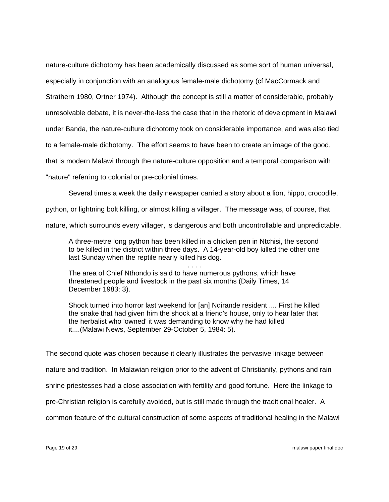nature-culture dichotomy has been academically discussed as some sort of human universal, especially in conjunction with an analogous female-male dichotomy (cf MacCormack and Strathern 1980, Ortner 1974). Although the concept is still a matter of considerable, probably unresolvable debate, it is never-the-less the case that in the rhetoric of development in Malawi under Banda, the nature-culture dichotomy took on considerable importance, and was also tied to a female-male dichotomy. The effort seems to have been to create an image of the good, that is modern Malawi through the nature-culture opposition and a temporal comparison with "nature" referring to colonial or pre-colonial times.

Several times a week the daily newspaper carried a story about a lion, hippo, crocodile,

python, or lightning bolt killing, or almost killing a villager. The message was, of course, that

nature, which surrounds every villager, is dangerous and both uncontrollable and unpredictable.

A three-metre long python has been killed in a chicken pen in Ntchisi, the second to be killed in the district within three days. A 14-year-old boy killed the other one last Sunday when the reptile nearly killed his dog.

. . . . The area of Chief Nthondo is said to have numerous pythons, which have threatened people and livestock in the past six months (Daily Times, 14 December 1983: 3).

Shock turned into horror last weekend for [an] Ndirande resident .... First he killed the snake that had given him the shock at a friend's house, only to hear later that the herbalist who 'owned' it was demanding to know why he had killed it....(Malawi News, September 29-October 5, 1984: 5).

The second quote was chosen because it clearly illustrates the pervasive linkage between nature and tradition. In Malawian religion prior to the advent of Christianity, pythons and rain shrine priestesses had a close association with fertility and good fortune. Here the linkage to pre-Christian religion is carefully avoided, but is still made through the traditional healer. A common feature of the cultural construction of some aspects of traditional healing in the Malawi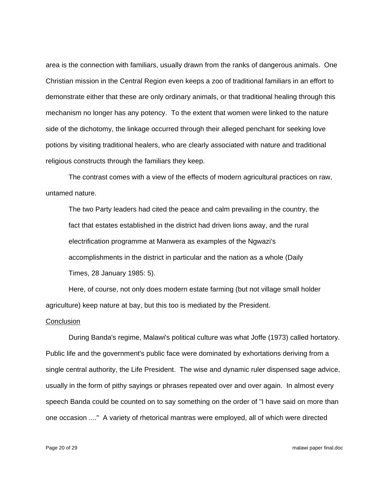area is the connection with familiars, usually drawn from the ranks of dangerous animals. One Christian mission in the Central Region even keeps a zoo of traditional familiars in an effort to demonstrate either that these are only ordinary animals, or that traditional healing through this mechanism no longer has any potency. To the extent that women were linked to the nature side of the dichotomy, the linkage occurred through their alleged penchant for seeking love potions by visiting traditional healers, who are clearly associated with nature and traditional religious constructs through the familiars they keep.

 The contrast comes with a view of the effects of modern agricultural practices on raw, untamed nature.

The two Party leaders had cited the peace and calm prevailing in the country, the fact that estates established in the district had driven lions away, and the rural electrification programme at Manwera as examples of the Ngwazi's accomplishments in the district in particular and the nation as a whole (Daily Times, 28 January 1985: 5).

 Here, of course, not only does modern estate farming (but not village small holder agriculture) keep nature at bay, but this too is mediated by the President.

#### **Conclusion**

 During Banda's regime, Malawi's political culture was what Joffe (1973) called hortatory. Public life and the government's public face were dominated by exhortations deriving from a single central authority, the Life President. The wise and dynamic ruler dispensed sage advice, usually in the form of pithy sayings or phrases repeated over and over again. In almost every speech Banda could be counted on to say something on the order of "I have said on more than one occasion ...." A variety of rhetorical mantras were employed, all of which were directed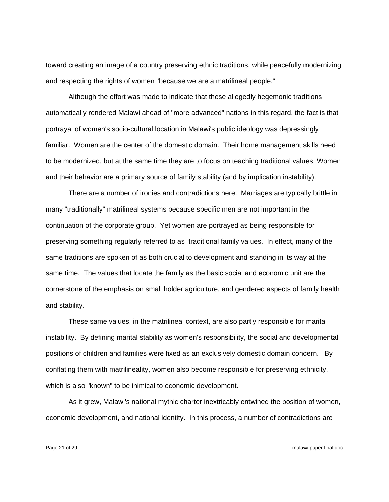toward creating an image of a country preserving ethnic traditions, while peacefully modernizing and respecting the rights of women "because we are a matrilineal people."

 Although the effort was made to indicate that these allegedly hegemonic traditions automatically rendered Malawi ahead of "more advanced" nations in this regard, the fact is that portrayal of women's socio-cultural location in Malawi's public ideology was depressingly familiar. Women are the center of the domestic domain. Their home management skills need to be modernized, but at the same time they are to focus on teaching traditional values. Women and their behavior are a primary source of family stability (and by implication instability).

 There are a number of ironies and contradictions here. Marriages are typically brittle in many "traditionally" matrilineal systems because specific men are not important in the continuation of the corporate group. Yet women are portrayed as being responsible for preserving something regularly referred to as traditional family values. In effect, many of the same traditions are spoken of as both crucial to development and standing in its way at the same time. The values that locate the family as the basic social and economic unit are the cornerstone of the emphasis on small holder agriculture, and gendered aspects of family health and stability.

 These same values, in the matrilineal context, are also partly responsible for marital instability. By defining marital stability as women's responsibility, the social and developmental positions of children and families were fixed as an exclusively domestic domain concern. By conflating them with matrilineality, women also become responsible for preserving ethnicity, which is also "known" to be inimical to economic development.

 As it grew, Malawi's national mythic charter inextricably entwined the position of women, economic development, and national identity. In this process, a number of contradictions are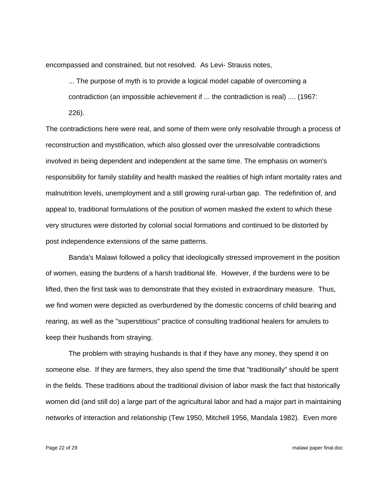encompassed and constrained, but not resolved. As Levi- Strauss notes,

... The purpose of myth is to provide a logical model capable of overcoming a contradiction (an impossible achievement if ... the contradiction is real) .... (1967: 226).

The contradictions here were real, and some of them were only resolvable through a process of reconstruction and mystification, which also glossed over the unresolvable contradictions involved in being dependent and independent at the same time. The emphasis on women's responsibility for family stability and health masked the realities of high infant mortality rates and malnutrition levels, unemployment and a still growing rural-urban gap. The redefinition of, and appeal to, traditional formulations of the position of women masked the extent to which these very structures were distorted by colonial social formations and continued to be distorted by post independence extensions of the same patterns.

 Banda's Malawi followed a policy that ideologically stressed improvement in the position of women, easing the burdens of a harsh traditional life. However, if the burdens were to be lifted, then the first task was to demonstrate that they existed in extraordinary measure. Thus, we find women were depicted as overburdened by the domestic concerns of child bearing and rearing, as well as the "superstitious" practice of consulting traditional healers for amulets to keep their husbands from straying.

 The problem with straying husbands is that if they have any money, they spend it on someone else. If they are farmers, they also spend the time that "traditionally" should be spent in the fields. These traditions about the traditional division of labor mask the fact that historically women did (and still do) a large part of the agricultural labor and had a major part in maintaining networks of interaction and relationship (Tew 1950, Mitchell 1956, Mandala 1982). Even more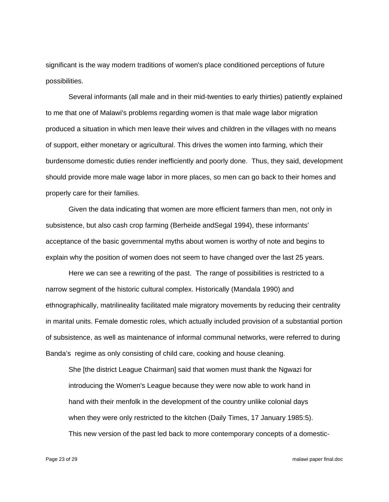significant is the way modern traditions of women's place conditioned perceptions of future possibilities.

 Several informants (all male and in their mid-twenties to early thirties) patiently explained to me that one of Malawi's problems regarding women is that male wage labor migration produced a situation in which men leave their wives and children in the villages with no means of support, either monetary or agricultural. This drives the women into farming, which their burdensome domestic duties render inefficiently and poorly done. Thus, they said, development should provide more male wage labor in more places, so men can go back to their homes and properly care for their families.

 Given the data indicating that women are more efficient farmers than men, not only in subsistence, but also cash crop farming (Berheide andSegal 1994), these informants' acceptance of the basic governmental myths about women is worthy of note and begins to explain why the position of women does not seem to have changed over the last 25 years.

 Here we can see a rewriting of the past. The range of possibilities is restricted to a narrow segment of the historic cultural complex. Historically (Mandala 1990) and ethnographically, matrilineality facilitated male migratory movements by reducing their centrality in marital units. Female domestic roles, which actually included provision of a substantial portion of subsistence, as well as maintenance of informal communal networks, were referred to during Banda's regime as only consisting of child care, cooking and house cleaning.

She [the district League Chairman] said that women must thank the Ngwazi for introducing the Women's League because they were now able to work hand in hand with their menfolk in the development of the country unlike colonial days when they were only restricted to the kitchen (Daily Times, 17 January 1985:5). This new version of the past led back to more contemporary concepts of a domestic-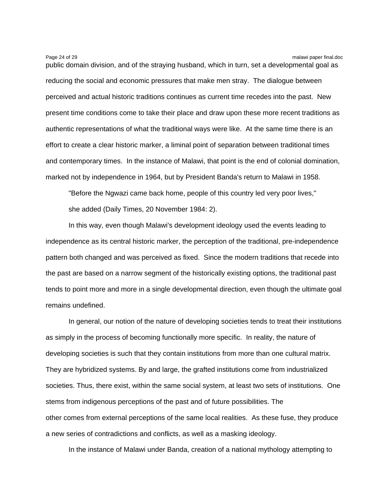Page 24 of 29 malawi paper final.doc public domain division, and of the straying husband, which in turn, set a developmental goal as reducing the social and economic pressures that make men stray. The dialogue between perceived and actual historic traditions continues as current time recedes into the past. New present time conditions come to take their place and draw upon these more recent traditions as authentic representations of what the traditional ways were like. At the same time there is an effort to create a clear historic marker, a liminal point of separation between traditional times and contemporary times. In the instance of Malawi, that point is the end of colonial domination, marked not by independence in 1964, but by President Banda's return to Malawi in 1958.

"Before the Ngwazi came back home, people of this country led very poor lives," she added (Daily Times, 20 November 1984: 2).

 In this way, even though Malawi's development ideology used the events leading to independence as its central historic marker, the perception of the traditional, pre-independence pattern both changed and was perceived as fixed. Since the modern traditions that recede into the past are based on a narrow segment of the historically existing options, the traditional past tends to point more and more in a single developmental direction, even though the ultimate goal remains undefined.

 In general, our notion of the nature of developing societies tends to treat their institutions as simply in the process of becoming functionally more specific. In reality, the nature of developing societies is such that they contain institutions from more than one cultural matrix. They are hybridized systems. By and large, the grafted institutions come from industrialized societies. Thus, there exist, within the same social system, at least two sets of institutions. One stems from indigenous perceptions of the past and of future possibilities. The other comes from external perceptions of the same local realities. As these fuse, they produce a new series of contradictions and conflicts, as well as a masking ideology.

In the instance of Malawi under Banda, creation of a national mythology attempting to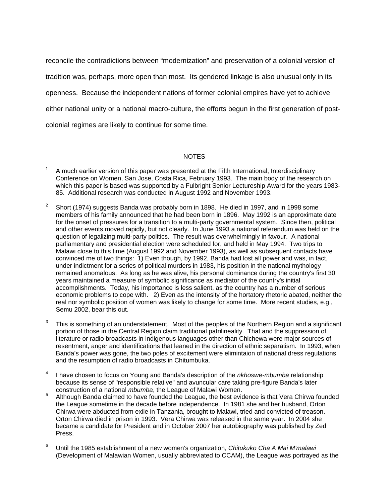reconcile the contradictions between "modernization" and preservation of a colonial version of tradition was, perhaps, more open than most. Its gendered linkage is also unusual only in its openness. Because the independent nations of former colonial empires have yet to achieve either national unity or a national macro-culture, the efforts begun in the first generation of postcolonial regimes are likely to continue for some time.

## NOTES

- 1 A much earlier version of this paper was presented at the Fifth International, Interdisciplinary Conference on Women, San Jose, Costa Rica, February 1993. The main body of the research on which this paper is based was supported by a Fulbright Senior Lectureship Award for the years 1983- 85. Additional research was conducted in August 1992 and November 1993.
- 2 Short (1974) suggests Banda was probably born in 1898. He died in 1997, and in 1998 some members of his family announced that he had been born in 1896. May 1992 is an approximate date for the onset of pressures for a transition to a multi-party governmental system. Since then, political and other events moved rapidly, but not clearly. In June 1993 a national referendum was held on the question of legalizing multi-party politics. The result was overwhelmingly in favour. A national parliamentary and presidential election were scheduled for, and held in May 1994. Two trips to Malawi close to this time (August 1992 and November 1993), as well as subsequent contacts have convinced me of two things: 1) Even though, by 1992, Banda had lost all power and was, in fact, under indictment for a series of political murders in 1983, his position in the national mythology remained anomalous. As long as he was alive, his personal dominance during the country's first 30 years maintained a measure of symbolic significance as mediator of the country's initial accomplishments. Today, his importance is less salient, as the country has a number of serious economic problems to cope with. 2) Even as the intensity of the hortatory rhetoric abated, neither the real nor symbolic position of women was likely to change for some time. More recent studies, e.g., Semu 2002, bear this out.
- 3 This is something of an understatement. Most of the peoples of the Northern Region and a significant portion of those in the Central Region claim traditional patrilineality. That and the suppression of literature or radio broadcasts in indigenous languages other than Chichewa were major sources of resentment, anger and identifications that leaned in the direction of ethnic separatism. In 1993, when Banda's power was gone, the two poles of excitement were elimintaion of national dress regulations and the resumption of radio broadcasts in Chitumbuka.
- 4 I have chosen to focus on Young and Banda's description of the *nkhoswe-mbumba* relationship because its sense of "responsible relative" and avuncular care taking pre-figure Banda's later construction of a national *mbumba*, the League of Malawi Women.
- Although Banda claimed to have founded the League, the best evidence is that Vera Chirwa founded the League sometime in the decade before independence. In 1981 she and her husband, Orton Chirwa were abducted from exile in Tanzania, brought to Malawi, tried and convicted of treason. Orton Chirwa died in prison in 1993. Vera Chirwa was released in the same year. In 2004 she became a candidate for President and in October 2007 her autobiography was published by Zed Press.
- 6 Until the 1985 establishment of a new women's organization, *Chitukuko Cha A Mai M'malawi* (Development of Malawian Women, usually abbreviated to CCAM), the League was portrayed as the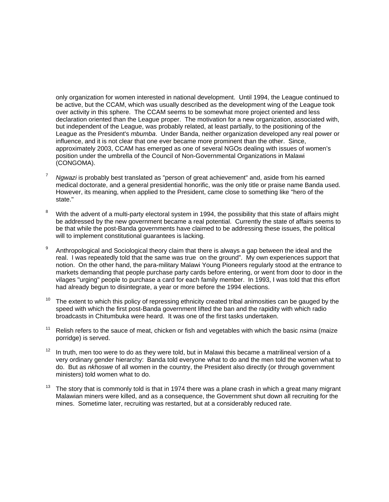only organization for women interested in national development. Until 1994, the League continued to be active, but the CCAM, which was usually described as the development wing of the League took over activity in this sphere. The CCAM seems to be somewhat more project oriented and less declaration oriented than the League proper. The motivation for a new organization, associated with, but independent of the League, was probably related, at least partially, to the positioning of the League as the President's *mbumba*. Under Banda, neither organization developed any real power or influence, and it is not clear that one ever became more prominent than the other. Since, approximately 2003, CCAM has emerged as one of several NGOs dealing with issues of women's position under the umbrella of the Council of Non-Governmental Organizations in Malawi (CONGOMA).

- <sup>7</sup> *Ngwazi* is probably best translated as "person of great achievement" and, aside from his earned medical doctorate, and a general presidential honorific, was the only title or praise name Banda used. However, its meaning, when applied to the President, came close to something like "hero of the state."
- 8 With the advent of a multi-party electoral system in 1994, the possibility that this state of affairs might be addressed by the new government became a real potential. Currently the state of affairs seems to be that while the post-Banda governments have claimed to be addressing these issues, the political will to implement constitutional guarantees is lacking.
- 9 Anthropological and Sociological theory claim that there is always a gap between the ideal and the real. I was repeatedly told that the same was true on the ground". My own experiences support that notion. On the other hand, the para-military Malawi Young Pioneers regularly stood at the entrance to markets demanding that people purchase party cards before entering, or went from door to door in the vilages "urging" people to purchase a card for each family member. In 1993, I was told that this effort had already begun to disintegrate, a year or more before the 1994 elections.
- $10$  The extent to which this policy of repressing ethnicity created tribal animosities can be gauged by the speed with which the first post-Banda government lifted the ban and the rapidity with which radio broadcasts in Chitumbuka were heard. It was one of the first tasks undertaken.
- 11 Relish refers to the sauce of meat, chicken or fish and vegetables with which the basic *nsima* (maize porridge) is served.
- $12$  In truth, men too were to do as they were told, but in Malawi this became a matrilineal version of a very ordinary gender hierarchy: Banda told everyone what to do and the men told the women what to do. But as *nkhoswe* of all women in the country, the President also directly (or through government ministers) told women what to do.
- The story that is commonly told is that in 1974 there was a plane crash in which a great many migrant Malawian miners were killed, and as a consequence, the Government shut down all recruiting for the mines. Sometime later, recruiting was restarted, but at a considerably reduced rate.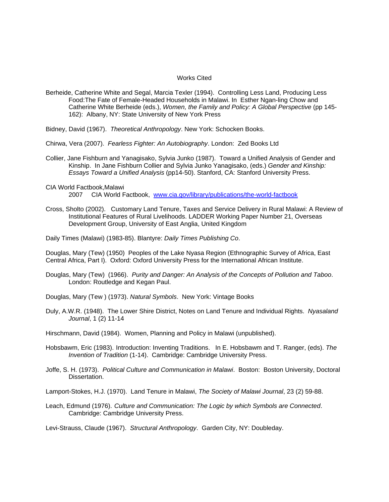#### Works Cited

Berheide, Catherine White and Segal, Marcia Texler (1994). Controlling Less Land, Producing Less Food:The Fate of Female-Headed Households in Malawi. In Esther Ngan-ling Chow and Catherine White Berheide (eds.), *Women, the Family and Policy: A Global Perspective* (pp 145- 162): Albany, NY: State University of New York Press

Bidney, David (1967). *Theoretical Anthropology*. New York: Schocken Books.

Chirwa, Vera (2007). *Fearless Fighter: An Autobiography*. London: Zed Books Ltd

- Collier, Jane Fishburn and Yanagisako, Sylvia Junko (1987). Toward a Unified Analysis of Gender and Kinship. In Jane Fishburn Collier and Sylvia Junko Yanagisako, (eds.) *Gender and Kinship: Essays Toward a Unified Analysis* (pp14-50). Stanford, CA: Stanford University Press.
- CIA World Factbook,Malawi

2007 CIA World Factbook, www.cia.gov/library/publications/the-world-factbook

Cross, Sholto (2002). Customary Land Tenure, Taxes and Service Delivery in Rural Malawi: A Review of Institutional Features of Rural Livelihoods. LADDER Working Paper Number 21, Overseas Development Group, University of East Anglia, United Kingdom

Daily Times (Malawi) (1983-85). Blantyre: *Daily Times Publishing Co*.

Douglas, Mary (Tew) (1950) Peoples of the Lake Nyasa Region (Ethnographic Survey of Africa, East Central Africa, Part I). Oxford: Oxford University Press for the International African Institute.

- Douglas, Mary (Tew) (1966). *Purity and Danger: An Analysis of the Concepts of Pollution and Taboo*. London: Routledge and Kegan Paul.
- Douglas, Mary (Tew ) (1973). *Natural Symbols*. New York: Vintage Books
- Duly, A.W.R. (1948). The Lower Shire District, Notes on Land Tenure and Individual Rights. *Nyasaland Journal*, 1 (2) 11-14

Hirschmann, David (1984). Women, Planning and Policy in Malawi (unpublished).

- Hobsbawm, Eric (1983). Introduction: Inventing Traditions. In E. Hobsbawm and T. Ranger, (eds). *The Invention of Tradition* (1-14). Cambridge: Cambridge University Press.
- Joffe, S. H. (1973). *Political Culture and Communication in Malawi*. Boston: Boston University, Doctoral Dissertation.

Lamport-Stokes, H.J. (1970). Land Tenure in Malawi, *The Society of Malawi Journal*, 23 (2) 59-88.

Leach, Edmund (1976). *Culture and Communication: The Logic by which Symbols are Connected*. Cambridge: Cambridge University Press.

Levi-Strauss, Claude (1967). *Structural Anthropology*. Garden City, NY: Doubleday.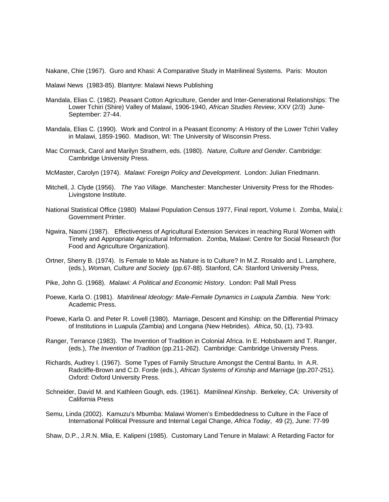Nakane, Chie (1967). Guro and Khasi: A Comparative Study in Matrilineal Systems. Paris: Mouton

Malawi News (1983-85). Blantyre: Malawi News Publishing

- Mandala, Elias C. (1982). Peasant Cotton Agriculture, Gender and Inter-Generational Relationships: The Lower Tchiri (Shire) Valley of Malawi, 1906-1940, *African Studies Review*, XXV (2/3) June-September: 27-44.
- Mandala, Elias C. (1990). Work and Control in a Peasant Economy: A History of the Lower Tchiri Valley in Malawi, 1859-1960. Madison, WI: The University of Wisconsin Press.
- Mac Cormack, Carol and Marilyn Strathern, eds. (1980). *Nature, Culture and Gender*. Cambridge: Cambridge University Press.
- McMaster, Carolyn (1974). *Malawi: Foreign Policy and Development*. London: Julian Friedmann.
- Mitchell, J. Clyde (1956). *The Yao Village*. Manchester: Manchester University Press for the Rhodes-Livingstone Institute.
- National Statistical Office (1980) Malawi Population Census 1977, Final report, Volume I. Zomba, Mala⎣i: Government Printer.
- Ngwira, Naomi (1987). Effectiveness of Agricultural Extension Services in reaching Rural Women with Timely and Appropriate Agricultural Information. Zomba, Malawi: Centre for Social Research (for Food and Agriculture Organization).
- Ortner, Sherry B. (1974). Is Female to Male as Nature is to Culture? In M.Z. Rosaldo and L. Lamphere, (eds.), *Woman, Culture and Society* (pp.67-88). Stanford, CA: Stanford University Press,
- Pike, John G. (1968). *Malawi: A Political and Economic History*. London: Pall Mall Press
- Poewe, Karla O. (1981). *Matrilineal Ideology: Male-Female Dynamics in Luapula Zambia*. New York: Academic Press.
- Poewe, Karla O. and Peter R. Lovell (1980). Marriage, Descent and Kinship: on the Differential Primacy of Institutions in Luapula (Zambia) and Longana (New Hebrides). *Africa*, 50, (1), 73-93.
- Ranger, Terrance (1983). The Invention of Tradition in Colonial Africa. In E. Hobsbawm and T. Ranger, (eds.), *The Invention of Tradition* (pp.211-262). Cambridge: Cambridge University Press.
- Richards, Audrey I. (1967). Some Types of Family Structure Amongst the Central Bantu. In A.R. Radcliffe-Brown and C.D. Forde (eds.), *African Systems of Kinship and Marriage* (pp.207-251). Oxford: Oxford University Press.
- Schneider, David M. and Kathleen Gough, eds. (1961). *Matrilineal Kinship*. Berkeley, CA: University of California Press
- Semu, Linda (2002). Kamuzu's Mbumba: Malawi Women's Embeddedness to Culture in the Face of International Political Pressure and Internal Legal Change, *Africa Today*, 49 (2), June: 77-99

Shaw, D.P., J.R.N. Mlia, E. Kalipeni (1985). Customary Land Tenure in Malawi: A Retarding Factor for